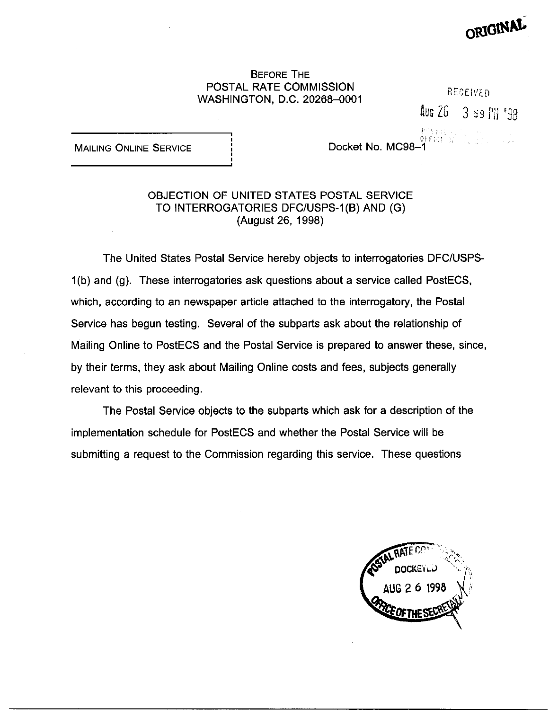## BEFORE THE POSTAL RATE COMMISSION WASHINGTON, D.C. 20268-0001

 $\frac{\partial f(\mathbf{r},t)}{\partial \mathbf{r}}$  ,  $\frac{\partial f(\mathbf{r},t)}{\partial \mathbf{r}}$  ,  $\frac{\partial f(\mathbf{r},t)}{\partial \mathbf{r}}$ 

ان الجومع<br>|Docket No. MC98–1

Aug 26 3 59 Pil '98

RECEIVED.

ORIGINA

**MAILING ONLINE SERVICE** 

## OBJECTION OF UNITED STATES POSTAL SERVICE TO INTERROGATORIES DFC/USPS-l(B) AND (G) (August 26, 1998)

The United States Postal Service hereby objects to interrogatories DFCIUSPS-1 (b) and (g). These interrogatories ask questions about a service called PostECS, which, according to an newspaper article attached to the interrogatory, the Postal Service has begun testing. Several of the subparts ask about the relationship of Mailing Online to PostECS and the Postal Service is prepared to answer these, since, by their terms, they ask about Mailing Online costs and fees, subjects generally relevant to this proceeding.

The Postal Service objects to the subparts which ask for a description of the implementation schedule for PostECS and whether the Postal Service will be submitting a request to the Commission regarding this service. These questions